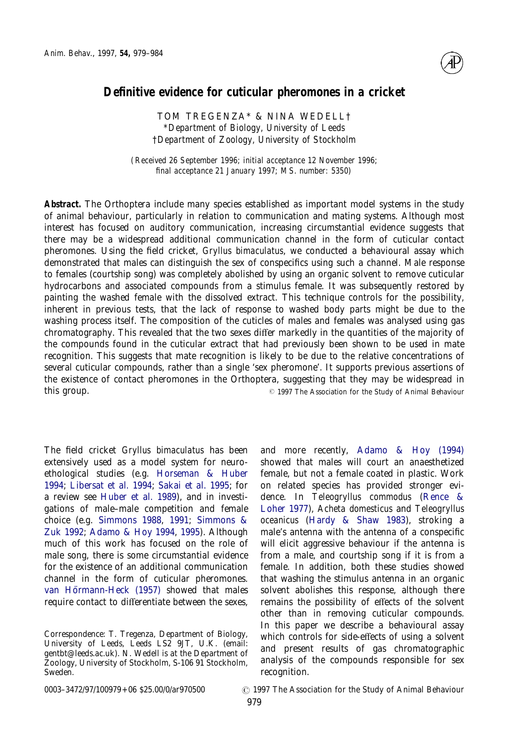

# **Definitive evidence for cuticular pheromones in a cricket**

TOM TREGENZA\* & NINA WEDELL† *\*Department of Biology, University of Leeds* †*Department of Zoology, University of Stockholm*

*(Received 26 September 1996; initial acceptance 12 November 1996; final acceptance 21 January 1997; MS. number: 5350)*

**Abstract.** The Orthoptera include many species established as important model systems in the study of animal behaviour, particularly in relation to communication and mating systems. Although most interest has focused on auditory communication, increasing circumstantial evidence suggests that there may be a widespread additional communication channel in the form of cuticular contact pheromones. Using the field cricket, *Gryllus bimaculatus*, we conducted a behavioural assay which demonstrated that males can distinguish the sex of conspecifics using such a channel. Male response to females (courtship song) was completely abolished by using an organic solvent to remove cuticular hydrocarbons and associated compounds from a stimulus female. It was subsequently restored by painting the washed female with the dissolved extract. This technique controls for the possibility, inherent in previous tests, that the lack of response to washed body parts might be due to the washing process itself. The composition of the cuticles of males and females was analysed using gas chromatography. This revealed that the two sexes differ markedly in the quantities of the majority of the compounds found in the cuticular extract that had previously been shown to be used in mate recognition. This suggests that mate recognition is likely to be due to the relative concentrations of several cuticular compounds, rather than a single 'sex pheromone'. It supports previous assertions of the existence of contact pheromones in the Orthoptera, suggesting that they may be widespread in this group. The Association for the Study of Animal Behaviour

The field cricket *Gryllus bimaculatus* has been extensively used as a model system for neuroethological studies (e.g. [Horseman & Huber](#page-5-0) [1994;](#page-5-0) [Libersat et al. 1994;](#page-5-1) [Sakai et al. 1995;](#page-5-2) for a review see [Huber et al. 1989\)](#page-5-3), and in investigations of male–male competition and female choice (e.g. [Simmons 1988,](#page-5-4) [1991;](#page-5-5) [Simmons &](#page-5-6) [Zuk 1992;](#page-5-6) [Adamo & Hoy 1994,](#page-5-7) [1995\)](#page-5-8). Although much of this work has focused on the role of male song, there is some circumstantial evidence for the existence of an additional communication channel in the form of cuticular pheromones. van Hörmann-Heck (1957) showed that males require contact to differentiate between the sexes, and more recently, [Adamo & Hoy \(1994\)](#page-5-7) showed that males will court an anaesthetized female, but not a female coated in plastic. Work on related species has provided stronger evidence. In *Teleogryllus commodus* [\(Rence &](#page-5-10) [Loher 1977\)](#page-5-10), *Acheta domesticus* and *Teleogryllus oceanicus* [\(Hardy & Shaw 1983\)](#page-5-11), stroking a male's antenna with the antenna of a conspecific will elicit aggressive behaviour if the antenna is from a male, and courtship song if it is from a female. In addition, both these studies showed that washing the stimulus antenna in an organic solvent abolishes this response, although there remains the possibility of effects of the solvent other than in removing cuticular compounds. In this paper we describe a behavioural assay which controls for side-effects of using a solvent and present results of gas chromatographic analysis of the compounds responsible for sex recognition.

0003–3472/97/100979+06 \$25.00/0/ar970500 (201997 The Association for the Study of Animal Behaviour

Correspondence: T. Tregenza, Department of Biology, University of Leeds, Leeds LS2 9JT, U.K. (email: gentbt@leeds.ac.uk). N. Wedell is at the Department of Zoology, University of Stockholm, S-106 91 Stockholm, Sweden.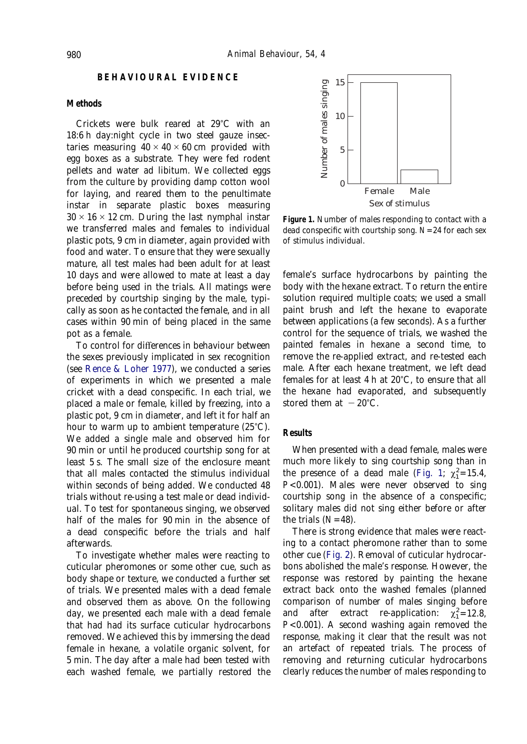# **BEHAVIOURAL EVIDENCE**

#### **Methods**

Crickets were bulk reared at  $29^{\circ}$ C with an 18:6 h day:night cycle in two steel gauze insectaries measuring  $40 \times 40 \times 60$  cm provided with egg boxes as a substrate. They were fed rodent pellets and water ad libitum. We collected eggs from the culture by providing damp cotton wool for laying, and reared them to the penultimate instar in separate plastic boxes measuring  $30 \times 16 \times 12$  cm. During the last nymphal instar we transferred males and females to individual plastic pots, 9 cm in diameter, again provided with food and water. To ensure that they were sexually mature, all test males had been adult for at least 10 days and were allowed to mate at least a day before being used in the trials. All matings were preceded by courtship singing by the male, typically as soon as he contacted the female, and in all cases within 90 min of being placed in the same pot as a female.

To control for differences in behaviour between the sexes previously implicated in sex recognition (see [Rence & Loher 1977\)](#page-5-10), we conducted a series of experiments in which we presented a male cricket with a dead conspecific. In each trial, we placed a male or female, killed by freezing, into a plastic pot, 9 cm in diameter, and left it for half an hour to warm up to ambient temperature  $(25^{\circ}C)$ . We added a single male and observed him for 90 min or until he produced courtship song for at least 5 s. The small size of the enclosure meant that all males contacted the stimulus individual within seconds of being added. We conducted 48 trials without re-using a test male or dead individual. To test for spontaneous singing, we observed half of the males for 90 min in the absence of a dead conspecific before the trials and half afterwards.

To investigate whether males were reacting to cuticular pheromones or some other cue, such as body shape or texture, we conducted a further set of trials. We presented males with a dead female and observed them as above. On the following day, we presented each male with a dead female that had had its surface cuticular hydrocarbons removed. We achieved this by immersing the dead female in hexane, a volatile organic solvent, for 5 min. The day after a male had been tested with each washed female, we partially restored the

<span id="page-1-0"></span>

Figure 1. Number of males responding to contact with a dead conspecific with courtship song. *N*=24 for each sex of stimulus individual.

female's surface hydrocarbons by painting the body with the hexane extract. To return the entire solution required multiple coats; we used a small paint brush and left the hexane to evaporate between applications (a few seconds). As a further control for the sequence of trials, we washed the painted females in hexane a second time, to remove the re-applied extract, and re-tested each male. After each hexane treatment, we left dead females for at least 4 h at  $20^{\circ}$ C, to ensure that all the hexane had evaporated, and subsequently stored them at  $-20^{\circ}$ C.

### **Results**

When presented with a dead female, males were much more likely to sing courtship song than in the presence of a dead male [\(Fig. 1;](#page-1-0)  $\chi_1^2 = 15.4$ , *P*<0.001). Males were never observed to sing courtship song in the absence of a conspecific; solitary males did not sing either before or after the trials (*N*=48).

There is strong evidence that males were reacting to a contact pheromone rather than to some other cue [\(Fig. 2\)](#page-2-0). Removal of cuticular hydrocarbons abolished the male's response. However, the response was restored by painting the hexane extract back onto the washed females (planned comparison of number of males singing before and after extract re-application:  $\chi_1^2 = 12.8$ , *P*<0.001). A second washing again removed the response, making it clear that the result was not an artefact of repeated trials. The process of removing and returning cuticular hydrocarbons clearly reduces the number of males responding to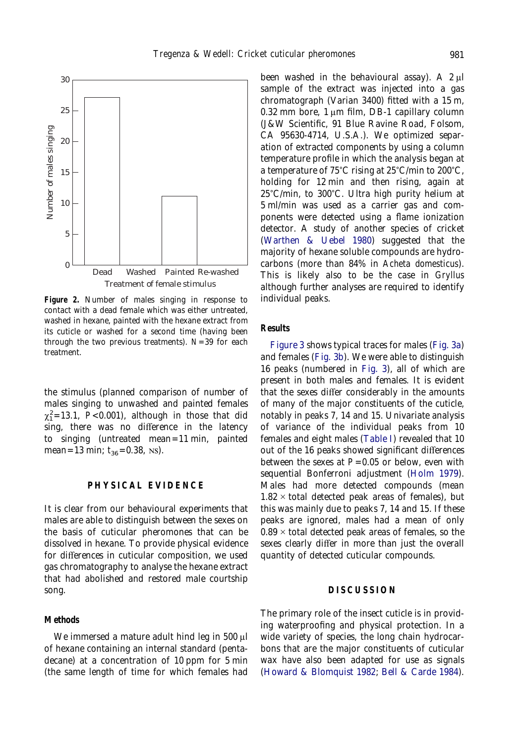<span id="page-2-0"></span>

**Figure 2.** Number of males singing in response to contact with a dead female which was either untreated, washed in hexane, painted with the hexane extract from its cuticle or washed for a second time (having been through the two previous treatments). *N*=39 for each treatment.

the stimulus (planned comparison of number of males singing to unwashed and painted females  $\chi_1^2$ =13.1, *P*<0.001), although in those that did sing, there was no difference in the latency to singing (untreated mean=11 min, painted mean=13 min;  $t_{36}$ =0.38, NS).

### **PHYSICAL EVIDENCE**

It is clear from our behavioural experiments that males are able to distinguish between the sexes on the basis of cuticular pheromones that can be dissolved in hexane. To provide physical evidence for differences in cuticular composition, we used gas chromatography to analyse the hexane extract that had abolished and restored male courtship song.

# **Methods**

We immersed a mature adult hind leg in  $500 \mu$ of hexane containing an internal standard (pentadecane) at a concentration of 10 ppm for 5 min (the same length of time for which females had been washed in the behavioural assay). A  $2 \mu$ l sample of the extract was injected into a gas chromatograph (Varian 3400) fitted with a 15 m,  $0.32$  mm bore, 1  $\mu$ m film, DB-1 capillary column (J&W Scientific, 91 Blue Ravine Road, Folsom, CA 95630-4714, U.S.A.). We optimized separation of extracted components by using a column temperature profile in which the analysis began at a temperature of 75°C rising at  $25^{\circ}$ C/min to  $200^{\circ}$ C, holding for 12 min and then rising, again at  $25^{\circ}$ C/min, to 300°C. Ultra high purity helium at 5 ml/min was used as a carrier gas and components were detected using a flame ionization detector. A study of another species of cricket [\(Warthen & Uebel 1980\)](#page-5-12) suggested that the majority of hexane soluble compounds are hydrocarbons (more than 84% in *Acheta domesticus*). This is likely also to be the case in *Gryllus* although further analyses are required to identify individual peaks.

### **Results**

[Figure 3](#page-3-0) shows typical traces for males [\(Fig. 3a\)](#page-3-0) and females [\(Fig. 3b\)](#page-3-0). We were able to distinguish 16 peaks (numbered in [Fig. 3\)](#page-3-0), all of which are present in both males and females. It is evident that the sexes differ considerably in the amounts of many of the major constituents of the cuticle, notably in peaks 7, 14 and 15. Univariate analysis of variance of the individual peaks from 10 females and eight males [\(Table I\)](#page-3-1) revealed that 10 out of the 16 peaks showed significant differences between the sexes at *P*=0.05 or below, even with sequential Bonferroni adjustment [\(Holm 1979\)](#page-5-13). Males had more detected compounds (mean  $1.82 \times$  total detected peak areas of females), but this was mainly due to peaks 7, 14 and 15. If these peaks are ignored, males had a mean of only  $0.89 \times$  total detected peak areas of females, so the sexes clearly differ in more than just the overall quantity of detected cuticular compounds.

#### **DISCUSSION**

The primary role of the insect cuticle is in providing waterproofing and physical protection. In a wide variety of species, the long chain hydrocarbons that are the major constituents of cuticular wax have also been adapted for use as signals [\(Howard & Blomquist 1982;](#page-5-14) [Bell & Carde 1984\)](#page-5-15).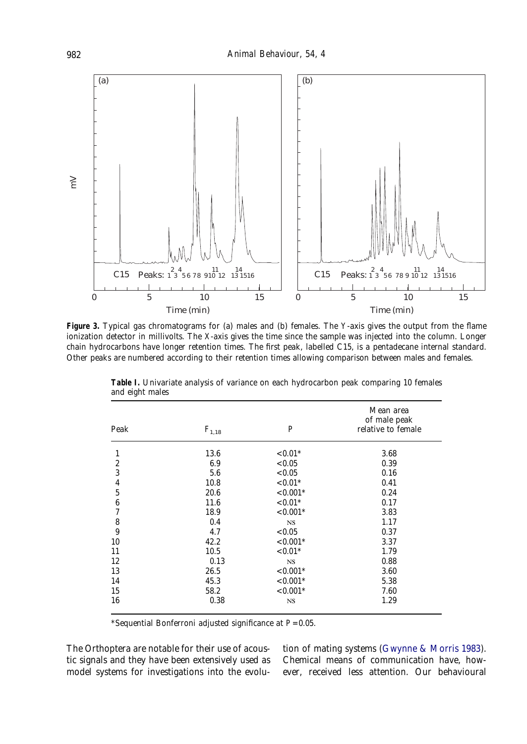<span id="page-3-0"></span>

**Figure 3.** Typical gas chromatograms for (a) males and (b) females. The *Y*-axis gives the output from the flame ionization detector in millivolts. The *X*-axis gives the time since the sample was injected into the column. Longer chain hydrocarbons have longer retention times. The first peak, labelled C15, is a pentadecane internal standard. Other peaks are numbered according to their retention times allowing comparison between males and females.

| Peak                    | $F_{1,18}$ | Ρ           | Mean area<br>of male peak<br>relative to female |
|-------------------------|------------|-------------|-------------------------------------------------|
| 1                       | 13.6       | ${<}0.01*$  | 3.68                                            |
| $\boldsymbol{2}$        | 6.9        | < 0.05      | 0.39                                            |
| 3                       | 5.6        | < 0.05      | 0.16                                            |
| $\overline{\mathbf{4}}$ | 10.8       | ${<}0.01*$  | 0.41                                            |
| $\overline{5}$          | 20.6       | ${<}0.001*$ | 0.24                                            |
| $\boldsymbol{6}$        | 11.6       | ${<}0.01*$  | 0.17                                            |
| $\overline{7}$          | 18.9       | ${<}0.001*$ | 3.83                                            |
| 8                       | 0.4        | $_{\rm NS}$ | 1.17                                            |
| 9                       | 4.7        | ${<}0.05$   | 0.37                                            |
| 10                      | 42.2       | ${<}0.001*$ | 3.37                                            |
| 11                      | 10.5       | ${<}0.01*$  | 1.79                                            |
| 12                      | 0.13       | $_{\rm NS}$ | 0.88                                            |
| 13                      | 26.5       | ${<}0.001*$ | 3.60                                            |
| 14                      | 45.3       | ${<}0.001*$ | 5.38                                            |
| 15                      | 58.2       | ${<}0.001*$ | 7.60                                            |
| 16                      | 0.38       | $_{\rm NS}$ | 1.29                                            |

<span id="page-3-1"></span>**Table I.** Univariate analysis of variance on each hydrocarbon peak comparing 10 females and eight males

\*Sequential Bonferroni adjusted significance at *P*=0.05.

The Orthoptera are notable for their use of acoustic signals and they have been extensively used as model systems for investigations into the evolution of mating systems [\(Gwynne & Morris 1983\)](#page-5-16). Chemical means of communication have, however, received less attention. Our behavioural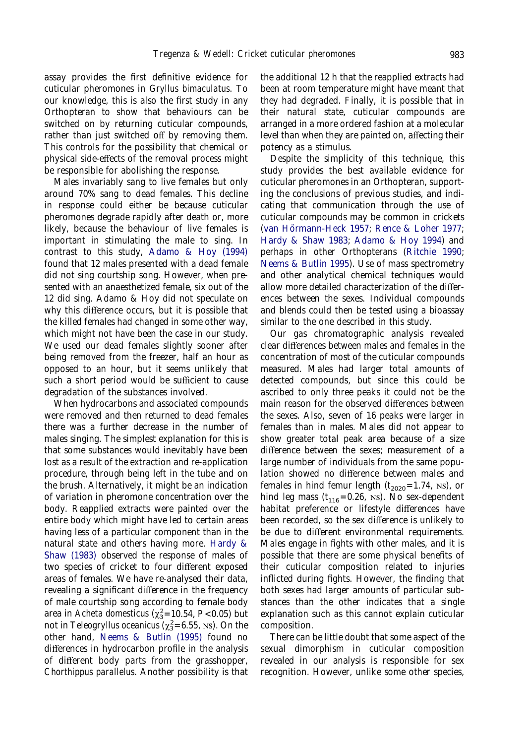assay provides the first definitive evidence for cuticular pheromones in *Gryllus bimaculatus*. To our knowledge, this is also the first study in any Orthopteran to show that behaviours can be switched on by returning cuticular compounds, rather than just switched off by removing them. This controls for the possibility that chemical or physical side-effects of the removal process might be responsible for abolishing the response.

Males invariably sang to live females but only around 70% sang to dead females. This decline in response could either be because cuticular pheromones degrade rapidly after death or, more likely, because the behaviour of live females is important in stimulating the male to sing. In contrast to this study, [Adamo & Hoy \(1994\)](#page-5-7) found that 12 males presented with a dead female did not sing courtship song. However, when presented with an anaesthetized female, six out of the 12 did sing. Adamo & Hoy did not speculate on why this difference occurs, but it is possible that the killed females had changed in some other way, which might not have been the case in our study. We used our dead females slightly sooner after being removed from the freezer, half an hour as opposed to an hour, but it seems unlikely that such a short period would be sufficient to cause degradation of the substances involved.

When hydrocarbons and associated compounds were removed and then returned to dead females there was a further decrease in the number of males singing. The simplest explanation for this is that some substances would inevitably have been lost as a result of the extraction and re-application procedure, through being left in the tube and on the brush. Alternatively, it might be an indication of variation in pheromone concentration over the body. Reapplied extracts were painted over the entire body which might have led to certain areas having less of a particular component than in the natural state and others having more. [Hardy &](#page-5-11) [Shaw \(1983\)](#page-5-11) observed the response of males of two species of cricket to four different exposed areas of females. We have re-analysed their data, revealing a significant difference in the frequency of male courtship song according to female body area in *Acheta domesticus* ( $\chi^2$ =10.54, *P*<0.05) but not in *Teleogryllus oceanicus* ( $\chi^2$ =6.55,  $\text{\sc hs}$ ). On the other hand, [Neems & Butlin \(1995\)](#page-5-17) found no differences in hydrocarbon profile in the analysis of different body parts from the grasshopper, *Chorthippus parallelus*. Another possibility is that

the additional 12 h that the reapplied extracts had been at room temperature might have meant that they had degraded. Finally, it is possible that in their natural state, cuticular compounds are arranged in a more ordered fashion at a molecular level than when they are painted on, affecting their potency as a stimulus.

Despite the simplicity of this technique, this study provides the best available evidence for cuticular pheromones in an Orthopteran, supporting the conclusions of previous studies, and indicating that communication through the use of cuticular compounds may be common in crickets (van Hörmann-Heck 1957; [Rence & Loher 1977;](#page-5-10) [Hardy & Shaw 1983;](#page-5-11) [Adamo & Hoy 1994\)](#page-5-8) and perhaps in other Orthopterans [\(Ritchie 1990;](#page-5-18) [Neems & Butlin 1995\)](#page-5-17). Use of mass spectrometry and other analytical chemical techniques would allow more detailed characterization of the differences between the sexes. Individual compounds and blends could then be tested using a bioassay similar to the one described in this study.

Our gas chromatographic analysis revealed clear differences between males and females in the concentration of most of the cuticular compounds measured. Males had larger total amounts of detected compounds, but since this could be ascribed to only three peaks it could not be the main reason for the observed differences between the sexes. Also, seven of 16 peaks were larger in females than in males. Males did not appear to show greater total peak area because of a size difference between the sexes; measurement of a large number of individuals from the same population showed no difference between males and females in hind femur length  $(t_{2020}=1.74, \text{ns})$ , or hind leg mass  $(t_{116}=0.26, \text{ NS})$ . No sex-dependent habitat preference or lifestyle differences have been recorded, so the sex difference is unlikely to be due to different environmental requirements. Males engage in fights with other males, and it is possible that there are some physical benefits of their cuticular composition related to injuries inflicted during fights. However, the finding that both sexes had larger amounts of particular substances than the other indicates that a single explanation such as this cannot explain cuticular composition.

There can be little doubt that some aspect of the sexual dimorphism in cuticular composition revealed in our analysis is responsible for sex recognition. However, unlike some other species,